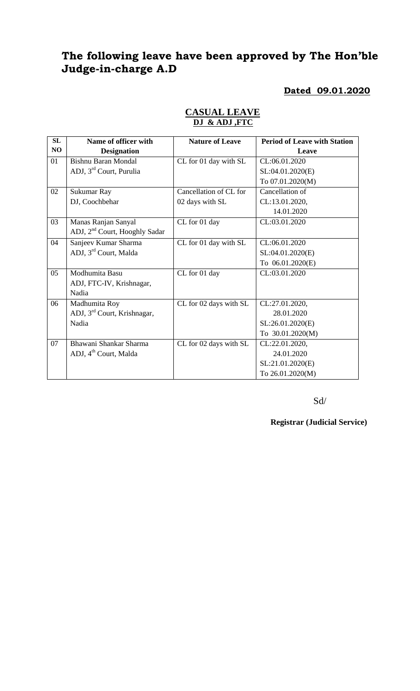# **The following leave have been approved by The Hon'ble Judge-in-charge A.D**

**Dated 09.01.2020**

| <b>SL</b>      | Name of officer with                      | <b>Nature of Leave</b> | <b>Period of Leave with Station</b> |
|----------------|-------------------------------------------|------------------------|-------------------------------------|
| N <sub>O</sub> | <b>Designation</b>                        |                        | Leave                               |
| 01             | <b>Bishnu Baran Mondal</b>                | CL for 01 day with SL  | CL:06.01.2020                       |
|                | ADJ, 3 <sup>rd</sup> Court, Purulia       |                        | SL:04.01.2020(E)                    |
|                |                                           |                        | To 07.01.2020(M)                    |
| 02             | Sukumar Ray                               | Cancellation of CL for | Cancellation of                     |
|                | DJ, Coochbehar                            | 02 days with SL        | CL:13.01.2020,                      |
|                |                                           |                        | 14.01.2020                          |
| 03             | Manas Ranjan Sanyal                       | CL for 01 day          | CL:03.01.2020                       |
|                | ADJ, 2 <sup>nd</sup> Court, Hooghly Sadar |                        |                                     |
| 04             | Sanjeev Kumar Sharma                      | CL for 01 day with SL  | CL:06.01.2020                       |
|                | ADJ, 3 <sup>rd</sup> Court, Malda         |                        | SL:04.01.2020(E)                    |
|                |                                           |                        | To 06.01.2020(E)                    |
| 05             | Modhumita Basu                            | CL for 01 day          | CL:03.01.2020                       |
|                | ADJ, FTC-IV, Krishnagar,                  |                        |                                     |
|                | Nadia                                     |                        |                                     |
| 06             | Madhumita Roy                             | CL for 02 days with SL | CL:27.01.2020,                      |
|                | ADJ, 3 <sup>rd</sup> Court, Krishnagar,   |                        | 28.01.2020                          |
|                | Nadia                                     |                        | SL:26.01.2020(E)                    |
|                |                                           |                        | To 30.01.2020(M)                    |
| 07             | Bhawani Shankar Sharma                    | CL for 02 days with SL | CL:22.01.2020,                      |
|                | ADJ, 4 <sup>th</sup> Court, Malda         |                        | 24.01.2020                          |
|                |                                           |                        | SL:21.01.2020(E)                    |
|                |                                           |                        | To 26.01.2020(M)                    |

## **CASUAL LEAVE DJ & ADJ ,FTC**

Sd/

**Registrar (Judicial Service)**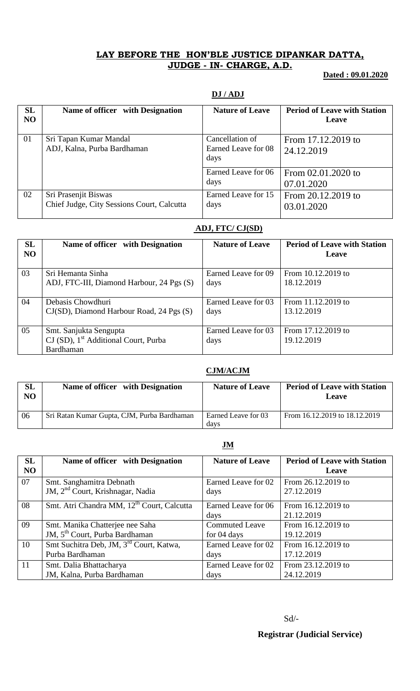## **LAY BEFORE THE HON'BLE JUSTICE DIPANKAR DATTA, JUDGE - IN- CHARGE, A.D.**

### **Dated : 09.01.2020**

### **DJ / ADJ**

| SL<br>N <sub>O</sub> | Name of officer with Designation                                   | <b>Nature of Leave</b>                         | <b>Period of Leave with Station</b><br>Leave |
|----------------------|--------------------------------------------------------------------|------------------------------------------------|----------------------------------------------|
| 01                   | Sri Tapan Kumar Mandal<br>ADJ, Kalna, Purba Bardhaman              | Cancellation of<br>Earned Leave for 08<br>days | From 17.12.2019 to<br>24.12.2019             |
|                      |                                                                    | Earned Leave for 06<br>days                    | From 02.01.2020 to<br>07.01.2020             |
| 02                   | Sri Prasenjit Biswas<br>Chief Judge, City Sessions Court, Calcutta | Earned Leave for 15<br>days                    | From $20.12.2019$ to<br>03.01.2020           |

#### **ADJ, FTC/ CJ(SD)**

| SL<br>N <sub>O</sub> | Name of officer with Designation                 | <b>Nature of Leave</b> | <b>Period of Leave with Station</b><br>Leave |
|----------------------|--------------------------------------------------|------------------------|----------------------------------------------|
| 03                   | Sri Hemanta Sinha                                | Earned Leave for 09    | From 10.12.2019 to                           |
|                      | ADJ, FTC-III, Diamond Harbour, 24 Pgs (S)        | days                   | 18.12.2019                                   |
| 04                   | Debasis Chowdhuri                                | Earned Leave for 03    | From 11.12.2019 to                           |
|                      | CJ(SD), Diamond Harbour Road, 24 Pgs (S)         | days                   | 13.12.2019                                   |
| 05                   | Smt. Sanjukta Sengupta                           | Earned Leave for 03    | From 17.12.2019 to                           |
|                      | CJ (SD), 1 <sup>st</sup> Additional Court, Purba | days                   | 19.12.2019                                   |
|                      | Bardhaman                                        |                        |                                              |

## **CJM/ACJM**

| $\operatorname{\mathbf{SL}}\nolimits$<br>NO | Name of officer with Designation            | <b>Nature of Leave</b>      | <b>Period of Leave with Station</b><br>Leave |
|---------------------------------------------|---------------------------------------------|-----------------------------|----------------------------------------------|
| -06                                         | Sri Ratan Kumar Gupta, CJM, Purba Bardhaman | Earned Leave for 03<br>davs | From 16.12.2019 to 18.12.2019                |

### **JM**

| SL<br>NO | Name of officer with Designation                       | <b>Nature of Leave</b> | <b>Period of Leave with Station</b><br>Leave |
|----------|--------------------------------------------------------|------------------------|----------------------------------------------|
| 07       | Smt. Sanghamitra Debnath                               | Earned Leave for 02    | From 26.12.2019 to                           |
|          | JM, 2 <sup>nd</sup> Court, Krishnagar, Nadia           | days                   | 27.12.2019                                   |
| 08       | Smt. Atri Chandra MM, 12 <sup>th</sup> Court, Calcutta | Earned Leave for 06    | From 16.12.2019 to                           |
|          |                                                        | days                   | 21.12.2019                                   |
| 09       | Smt. Manika Chatterjee nee Saha                        | <b>Commuted Leave</b>  | From 16.12.2019 to                           |
|          | JM, 5 <sup>th</sup> Court, Purba Bardhaman             | for 04 days            | 19.12.2019                                   |
| 10       | Smt Suchitra Deb, JM, 3 <sup>rd</sup> Court, Katwa,    | Earned Leave for 02    | From 16.12.2019 to                           |
|          | Purba Bardhaman                                        | days                   | 17.12.2019                                   |
| 11       | Smt. Dalia Bhattacharya                                | Earned Leave for 02    | From 23.12.2019 to                           |
|          | JM, Kalna, Purba Bardhaman                             | days                   | 24.12.2019                                   |

 **Registrar (Judicial Service)**